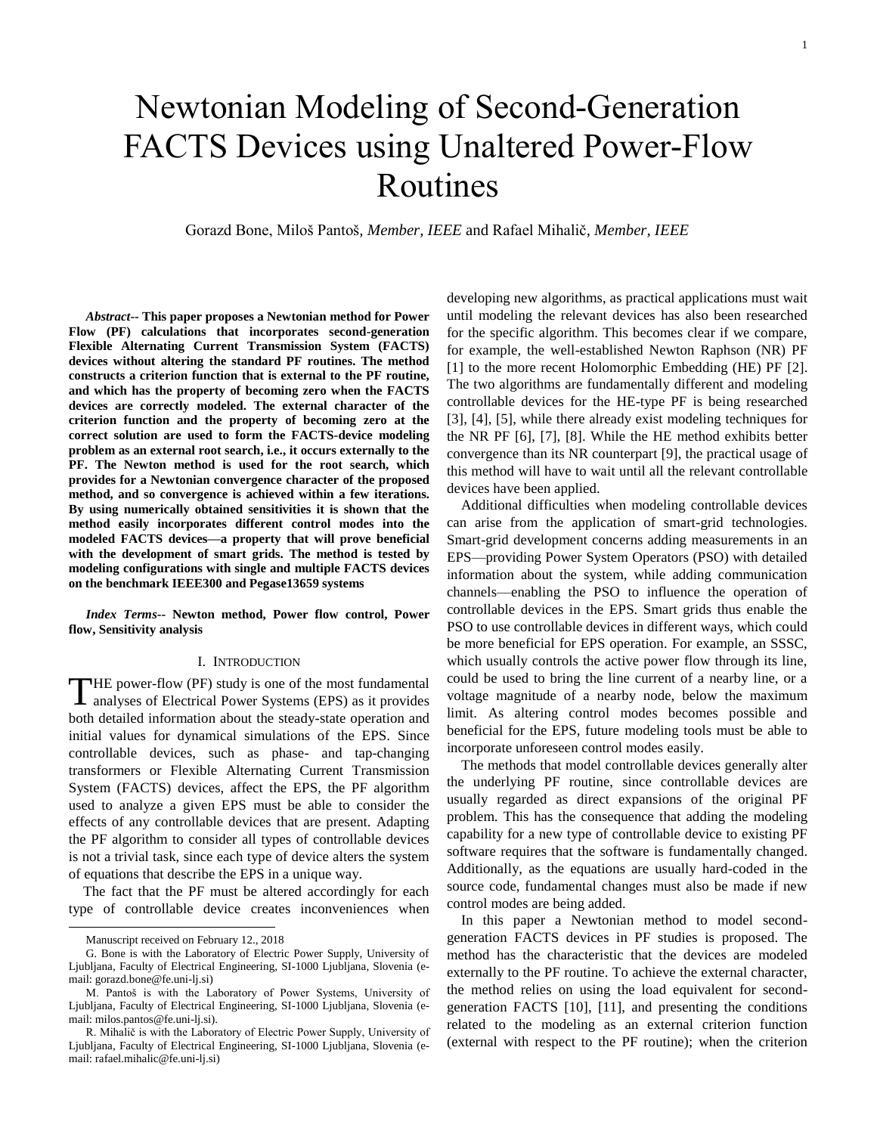# Newtonian Modeling of Second-Generation FACTS Devices using Unaltered Power-Flow Routines

Gorazd Bone, Miloš Pantoš*, Member, IEEE* and Rafael Mihalič*, Member, IEEE*

*Abstract***-- This paper proposes a Newtonian method for Power Flow (PF) calculations that incorporates second-generation Flexible Alternating Current Transmission System (FACTS) devices without altering the standard PF routines. The method constructs a criterion function that is external to the PF routine, and which has the property of becoming zero when the FACTS devices are correctly modeled. The external character of the criterion function and the property of becoming zero at the correct solution are used to form the FACTS-device modeling problem as an external root search, i.e., it occurs externally to the PF. The Newton method is used for the root search, which provides for a Newtonian convergence character of the proposed method, and so convergence is achieved within a few iterations. By using numerically obtained sensitivities it is shown that the method easily incorporates different control modes into the modeled FACTS devices—a property that will prove beneficial with the development of smart grids. The method is tested by modeling configurations with single and multiple FACTS devices on the benchmark IEEE300 and Pegase13659 systems**

*Index Terms***-- Newton method, Power flow control, Power flow, Sensitivity analysis**

#### I. INTRODUCTION

**THE** power-flow (PF) study is one of the most fundamental THE power-flow (PF) study is one of the most fundamental analyses of Electrical Power Systems (EPS) as it provides both detailed information about the steady-state operation and initial values for dynamical simulations of the EPS. Since controllable devices, such as phase- and tap-changing transformers or Flexible Alternating Current Transmission System (FACTS) devices, affect the EPS, the PF algorithm used to analyze a given EPS must be able to consider the effects of any controllable devices that are present. Adapting the PF algorithm to consider all types of controllable devices is not a trivial task, since each type of device alters the system of equations that describe the EPS in a unique way.

The fact that the PF must be altered accordingly for each type of controllable device creates inconveniences when

 $\overline{a}$ 

developing new algorithms, as practical applications must wait until modeling the relevant devices has also been researched for the specific algorithm. This becomes clear if we compare, for example, the well-established Newton Raphson (NR) PF [1] to the more recent Holomorphic Embedding (HE) PF [2]. The two algorithms are fundamentally different and modeling controllable devices for the HE-type PF is being researched [3], [4], [5], while there already exist modeling techniques for the NR PF [6], [7], [8]. While the HE method exhibits better convergence than its NR counterpart [9], the practical usage of this method will have to wait until all the relevant controllable devices have been applied.

Additional difficulties when modeling controllable devices can arise from the application of smart-grid technologies. Smart-grid development concerns adding measurements in an EPS—providing Power System Operators (PSO) with detailed information about the system, while adding communication channels—enabling the PSO to influence the operation of controllable devices in the EPS. Smart grids thus enable the PSO to use controllable devices in different ways, which could be more beneficial for EPS operation. For example, an SSSC, which usually controls the active power flow through its line, could be used to bring the line current of a nearby line, or a voltage magnitude of a nearby node, below the maximum limit. As altering control modes becomes possible and beneficial for the EPS, future modeling tools must be able to incorporate unforeseen control modes easily.

The methods that model controllable devices generally alter the underlying PF routine, since controllable devices are usually regarded as direct expansions of the original PF problem. This has the consequence that adding the modeling capability for a new type of controllable device to existing PF software requires that the software is fundamentally changed. Additionally, as the equations are usually hard-coded in the source code, fundamental changes must also be made if new control modes are being added.

In this paper a Newtonian method to model secondgeneration FACTS devices in PF studies is proposed. The method has the characteristic that the devices are modeled externally to the PF routine. To achieve the external character, the method relies on using the load equivalent for secondgeneration FACTS [10], [11], and presenting the conditions related to the modeling as an external criterion function (external with respect to the PF routine); when the criterion

Manuscript received on February 12., 2018

G. Bone is with the Laboratory of Electric Power Supply, University of Ljubljana, Faculty of Electrical Engineering, SI-1000 Ljubljana, Slovenia (email: gorazd.bone@fe.uni-lj.si)

M. Pantoš is with the Laboratory of Power Systems, University of Ljubljana, Faculty of Electrical Engineering, SI-1000 Ljubljana, Slovenia (email: milos.pantos@fe.uni-lj.si).

R. Mihalič is with the Laboratory of Electric Power Supply, University of Ljubljana, Faculty of Electrical Engineering, SI-1000 Ljubljana, Slovenia (email[: rafael.mihalic@fe.uni-lj.si\)](mailto:rafael.mihalic@fe.uni-lj.si)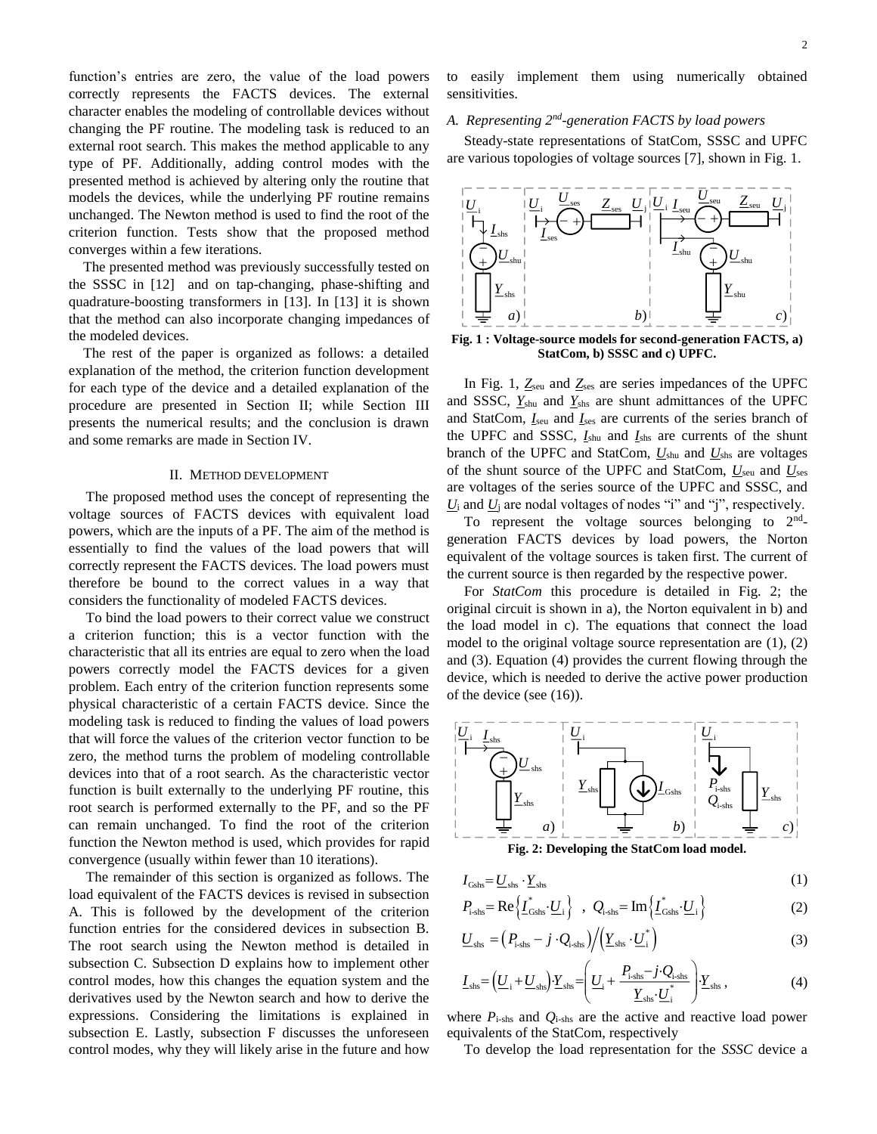function's entries are zero, the value of the load powers correctly represents the FACTS devices. The external character enables the modeling of controllable devices without changing the PF routine. The modeling task is reduced to an external root search. This makes the method applicable to any type of PF. Additionally, adding control modes with the presented method is achieved by altering only the routine that models the devices, while the underlying PF routine remains unchanged. The Newton method is used to find the root of the criterion function. Tests show that the proposed method converges within a few iterations.

The presented method was previously successfully tested on the SSSC in [12] and on tap-changing, phase-shifting and quadrature-boosting transformers in [13]. In [13] it is shown that the method can also incorporate changing impedances of the modeled devices.

The rest of the paper is organized as follows: a detailed explanation of the method, the criterion function development for each type of the device and a detailed explanation of the procedure are presented in Section II; while Section III presents the numerical results; and the conclusion is drawn and some remarks are made in Section IV.

## II. METHOD DEVELOPMENT

The proposed method uses the concept of representing the voltage sources of FACTS devices with equivalent load powers, which are the inputs of a PF. The aim of the method is essentially to find the values of the load powers that will correctly represent the FACTS devices. The load powers must therefore be bound to the correct values in a way that considers the functionality of modeled FACTS devices.

To bind the load powers to their correct value we construct a criterion function; this is a vector function with the characteristic that all its entries are equal to zero when the load powers correctly model the FACTS devices for a given problem. Each entry of the criterion function represents some physical characteristic of a certain FACTS device. Since the modeling task is reduced to finding the values of load powers that will force the values of the criterion vector function to be zero, the method turns the problem of modeling controllable devices into that of a root search. As the characteristic vector function is built externally to the underlying PF routine, this root search is performed externally to the PF, and so the PF can remain unchanged. To find the root of the criterion function the Newton method is used, which provides for rapid convergence (usually within fewer than 10 iterations).

The remainder of this section is organized as follows. The load equivalent of the FACTS devices is revised in subsection A. This is followed by the development of the criterion function entries for the considered devices in subsection B. The root search using the Newton method is detailed in subsection C. Subsection D explains how to implement other control modes, how this changes the equation system and the derivatives used by the Newton search and how to derive the expressions. Considering the limitations is explained in subsection E. Lastly, subsection F discusses the unforeseen control modes, why they will likely arise in the future and how to easily implement them using numerically obtained sensitivities.

# *A. Representing 2nd -generation FACTS by load powers*

Steady-state representations of StatCom, SSSC and UPFC are various topologies of voltage sources [7], shown i[n Fig. 1.](#page-1-0)



<span id="page-1-0"></span>**Fig. 1 : Voltage-source models for second-generation FACTS, a) StatCom, b) SSSC and c) UPFC.**

In [Fig. 1,](#page-1-0)  $Z_{\text{seu}}$  and  $Z_{\text{ses}}$  are series impedances of the UPFC and SSSC, *Y*shu and *Y*shs are shunt admittances of the UPFC and StatCom, *I*seu and *I*ses are currents of the series branch of the UPFC and SSSC, *I*shu and *I*shs are currents of the shunt branch of the UPFC and StatCom, *U*shu and *U*shs are voltages of the shunt source of the UPFC and StatCom, *U*seu and *U*ses are voltages of the series source of the UPFC and SSSC, and  $U_i$  and  $U_j$  are nodal voltages of nodes "i" and "j", respectively.

To represent the voltage sources belonging to  $2<sup>nd</sup>$ generation FACTS devices by load powers, the Norton equivalent of the voltage sources is taken first. The current of the current source is then regarded by the respective power.

For *StatCom* this procedure is detailed in [Fig. 2;](#page-1-1) the original circuit is shown in a), the Norton equivalent in b) and the load model in c). The equations that connect the load model to the original voltage source representation are (1), (2) and (3). Equation (4) provides the current flowing through the device, which is needed to derive the active power production of the device (see (16)).



**Fig. 2: Developing the StatCom load model.**

<span id="page-1-1"></span>
$$
I_{\text{Gshs}} = \underline{U}_{\text{shs}} \cdot \underline{Y}_{\text{shs}} \tag{1}
$$

$$
P_{i\text{-shs}} = \text{Re}\left\{ \underline{I}_{\text{Gshs}}^{*} \cdot \underline{U}_{i} \right\} , \quad Q_{i\text{-shs}} = \text{Im}\left\{ \underline{I}_{\text{Gshs}}^{*} \cdot \underline{U}_{i} \right\}
$$
 (2)

$$
\underline{U}_{\text{shs}} = \left(P_{i\text{-shs}} - j \cdot Q_{i\text{-shs}}\right) / \left(\underline{Y}_{\text{shs}} \cdot \underline{U}_i^*\right) \tag{3}
$$

$$
\underline{I}_{\text{shs}} = \left(\underline{U}_{\text{i}} + \underline{U}_{\text{shs}}\right) \cdot \underline{Y}_{\text{shs}} = \left(\underline{U}_{\text{i}} + \frac{P_{\text{i-shs}} - j \cdot Q_{\text{i-shs}}}{\underline{Y}_{\text{shs}} \cdot \underline{U}_{\text{i}}^*}\right) \cdot \underline{Y}_{\text{shs}} ,\tag{4}
$$

where  $P_{i\text{-shs}}$  and  $Q_{i\text{-shs}}$  are the active and reactive load power equivalents of the StatCom, respectively

To develop the load representation for the *SSSC* device a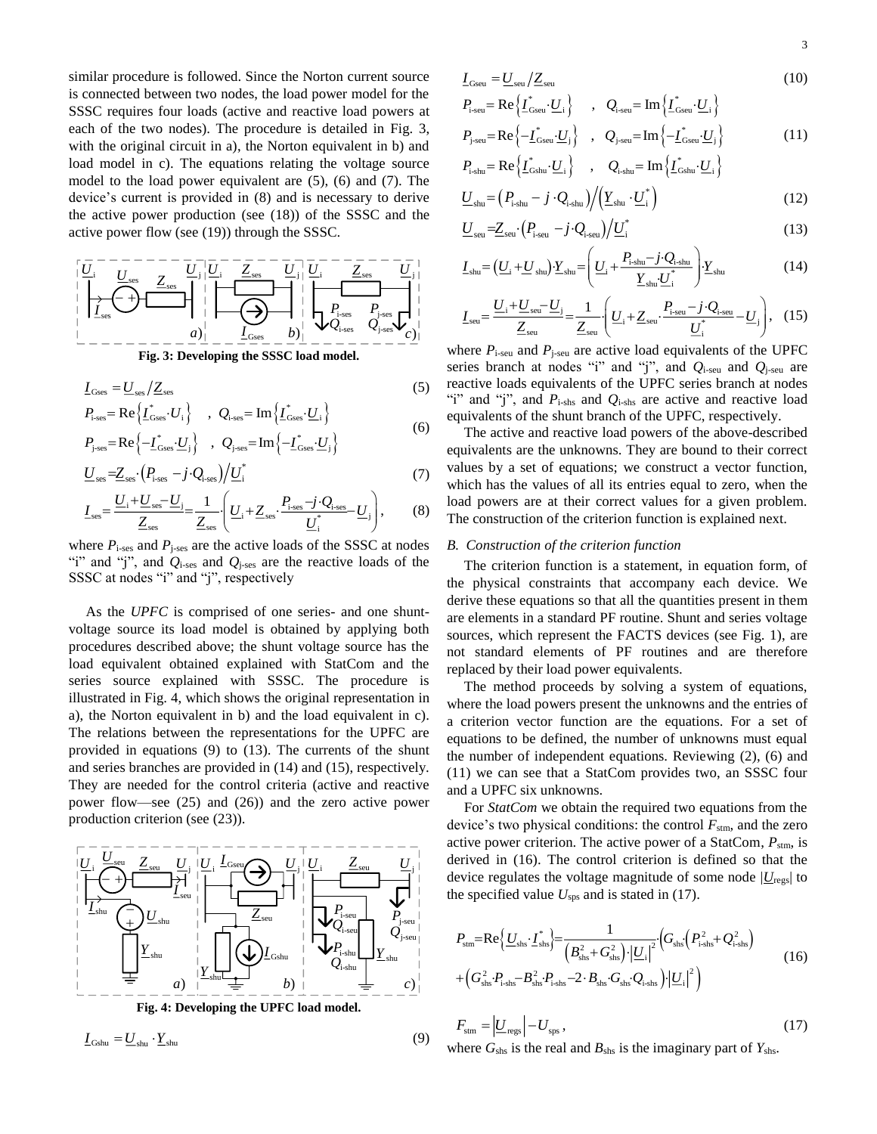similar procedure is followed. Since the Norton current source is connected between two nodes, the load power model for the SSSC requires four loads (active and reactive load powers at each of the two nodes). The procedure is detailed in [Fig. 3,](#page-2-0) with the original circuit in a), the Norton equivalent in b) and load model in c). The equations relating the voltage source model to the load power equivalent are (5), (6) and (7). The device's current is provided in (8) and is necessary to derive the active power production (see (18)) of the SSSC and the active power flow (see (19)) through the SSSC.



<span id="page-2-0"></span>
$$
\underline{I}_{\text{Gses}} = \underline{U}_{\text{ses}} / \underline{Z}_{\text{ses}} \tag{5}
$$

$$
P_{\text{i-ses}} = \text{Re}\left\{\underline{I}_{\text{Gses}}^* \cdot U_i\right\} , \quad Q_{\text{i-ses}} = \text{Im}\left\{\underline{I}_{\text{Gses}}^* \cdot \underline{U}_i\right\}
$$
\n
$$
P_{\text{j-ses}} = \text{Re}\left\{-\underline{I}_{\text{Gses}}^* \cdot \underline{U}_j\right\} , \quad Q_{\text{j-ses}} = \text{Im}\left\{-\underline{I}_{\text{Gses}}^* \cdot \underline{U}_j\right\} \tag{6}
$$

$$
\underline{U}_{\text{ses}} = \underline{Z}_{\text{ses}} \cdot \left( P_{\text{i-se}} - j \cdot Q_{\text{i-se}} \right) / \underline{U}_{i}^{*} \tag{7}
$$

$$
\underline{I}_{\text{ses}} = \frac{\underline{U}_{i} + \underline{U}_{\text{ses}} - \underline{U}_{j}}{\underline{Z}_{\text{ses}}} = \frac{1}{\underline{Z}_{\text{ses}}} \left( \underline{U}_{i} + \underline{Z}_{\text{ses}} \cdot \frac{P_{\text{ises}} - j \cdot Q_{\text{iscs}}}{\underline{U}_{i}^{*}} - \underline{U}_{j} \right),\tag{8}
$$

where  $P<sub>i-ses</sub>$  and  $P<sub>j-ses</sub>$  are the active loads of the SSSC at nodes "i" and "j", and  $Q<sub>i-ses</sub>$  and  $Q<sub>i-ses</sub>$  are the reactive loads of the SSSC at nodes "i" and "j", respectively

As the *UPFC* is comprised of one series- and one shuntvoltage source its load model is obtained by applying both procedures described above; the shunt voltage source has the load equivalent obtained explained with StatCom and the series source explained with SSSC. The procedure is illustrated in [Fig. 4,](#page-2-1) which shows the original representation in a), the Norton equivalent in b) and the load equivalent in c). The relations between the representations for the UPFC are provided in equations (9) to (13). The currents of the shunt and series branches are provided in (14) and (15), respectively. They are needed for the control criteria (active and reactive power flow—see (25) and (26)) and the zero active power production criterion (see (23)).



<span id="page-2-1"></span>
$$
\underline{I}_{\text{Gshu}} = \underline{U}_{\text{shu}} \cdot \underline{Y}_{\text{shu}} \tag{9}
$$

$$
\underline{I}_{\text{Gseu}} = \underline{U}_{\text{seu}} / \underline{Z}_{\text{seu}} \tag{10}
$$
\n
$$
P_{i\text{-seu}} = \text{Re}\left\{ \underline{I}_{\text{Gseu}}^* \cdot \underline{U}_i \right\} \quad , \quad \underline{Q}_{i\text{-seu}} = \text{Im}\left\{ \underline{I}_{\text{Gseu}}^* \cdot \underline{U}_i \right\}
$$

$$
P_{i \text{seu}} = \text{Re}\left\{L_{\text{Gseu}} \cdot \underline{U}_{i}\right\} , \quad Q_{i \text{seu}} = \text{Im}\left\{L_{\text{Gseu}} \cdot \underline{U}_{i}\right\}
$$
  

$$
P_{j \text{seu}} = \text{Re}\left\{-\underline{L}_{\text{Gseu}}^{*} \cdot \underline{U}_{j}\right\} , \quad Q_{j \text{seu}} = \text{Im}\left\{-\underline{L}_{\text{Gseu}}^{*} \cdot \underline{U}_{j}\right\}
$$
(11)

$$
P_{i\text{-shu}} = \text{Re}\left\{\underline{I}_{\text{Gshu}}^* \cdot \underline{U}_i\right\} \quad , \quad Q_{i\text{-shu}} = \text{Im}\left\{\underline{I}_{\text{Gshu}}^* \cdot \underline{U}_i\right\}
$$

$$
\underline{U}_{\text{shu}} = \left(P_{i\text{-shu}} - j \cdot Q_{i\text{-shu}}\right) \left/ \left(\underline{Y}_{\text{shu}} \cdot \underline{U}_{i}^{*}\right)\right)
$$
(12)

$$
\underline{U}_{\text{seu}} = \underline{Z}_{\text{seu}} \cdot (P_{\text{i-seu}} - j \cdot Q_{\text{i-seu}}) / \underline{U}_{\text{i}}^* \tag{13}
$$

$$
\underline{U}_{\text{shu}} = (\underline{U}_{\text{i}} + \underline{U}_{\text{shu}}) \cdot \underline{Y}_{\text{shu}} = \left(\underline{U}_{\text{i}} + \frac{P_{\text{i-shu}} - j \cdot Q_{\text{i-shu}}}{\underline{Y}_{\text{shu}} \cdot \underline{U}_{\text{i}}^*}\right) \cdot \underline{Y}_{\text{shu}}
$$
(14)

$$
\underline{I}_{\text{seu}} = \frac{\underline{U}_{i} + \underline{U}_{\text{seu}} - \underline{U}_{j}}{\underline{Z}_{\text{seu}}} = \frac{1}{\underline{Z}_{\text{seu}}} \cdot \left( \underline{U}_{i} + \underline{Z}_{\text{seu}} \cdot \frac{P_{i \text{seu}} - j \cdot \underline{Q}_{i \text{seu}}}{\underline{U}_{i}^{*}} - \underline{U}_{j} \right), \quad (15)
$$

where  $P_{\text{i-seu}}$  and  $P_{\text{j-seu}}$  are active load equivalents of the UPFC series branch at nodes "i" and "j", and *Q*i-seu and *Q*j-seu are reactive loads equivalents of the UPFC series branch at nodes "i" and "j", and  $P_{i\text{-shs}}$  and  $Q_{i\text{-shs}}$  are active and reactive load equivalents of the shunt branch of the UPFC, respectively.

The active and reactive load powers of the above-described equivalents are the unknowns. They are bound to their correct values by a set of equations; we construct a vector function, which has the values of all its entries equal to zero, when the load powers are at their correct values for a given problem. The construction of the criterion function is explained next.

# *B. Construction of the criterion function*

The criterion function is a statement, in equation form, of the physical constraints that accompany each device. We derive these equations so that all the quantities present in them are elements in a standard PF routine. Shunt and series voltage sources, which represent the FACTS devices (see [Fig. 1\)](#page-1-0), are not standard elements of PF routines and are therefore replaced by their load power equivalents.

The method proceeds by solving a system of equations, where the load powers present the unknowns and the entries of a criterion vector function are the equations. For a set of equations to be defined, the number of unknowns must equal the number of independent equations. Reviewing (2), (6) and (11) we can see that a StatCom provides two, an SSSC four and a UPFC six unknowns.

For *StatCom* we obtain the required two equations from the device's two physical conditions: the control  $F_{\text{stm}}$ , and the zero active power criterion. The active power of a StatCom,  $P_{\text{stm}}$ , is derived in (16). The control criterion is defined so that the  $\overrightarrow{H}$   $\overrightarrow{H}$   $\overrightarrow{H}$   $\overrightarrow{H}$   $\overrightarrow{H}$   $\overrightarrow{H}$  device regulates the voltage magnitude of some node  $|U_{\text{reg}}|$  to the specified value  $U_{\rm sps}$  and is stated in (17).

$$
P_{\text{sim}} = \text{Re}\left\{\underline{U}_{\text{shs}} \cdot \underline{I}_{\text{shs}}^{*}\right\} = \frac{1}{\left(B_{\text{shs}}^{2} + G_{\text{shs}}^{2}\right) \cdot \left|\underline{U}_{i}\right|^{2}} \cdot \left(G_{\text{shs}}\left(P_{i\text{-shs}}^{2} + Q_{i\text{-shs}}^{2}\right) + \left(G_{\text{shs}}^{2} \cdot P_{i\text{-shs}} - B_{\text{shs}}^{2} \cdot P_{i\text{-shs}} - 2 \cdot B_{\text{shs}} \cdot G_{\text{shs}} \cdot Q_{i\text{-shs}}\right) \cdot \left|\underline{U}_{i}\right|^{2}\right)
$$
\n(16)

$$
F_{\rm sm} = |U_{\rm res}| - U_{\rm sys},
$$
\n(17)

where  $G_{\rm shs}$  is the real and  $B_{\rm shs}$  is the imaginary part of  $Y_{\rm shs}$ .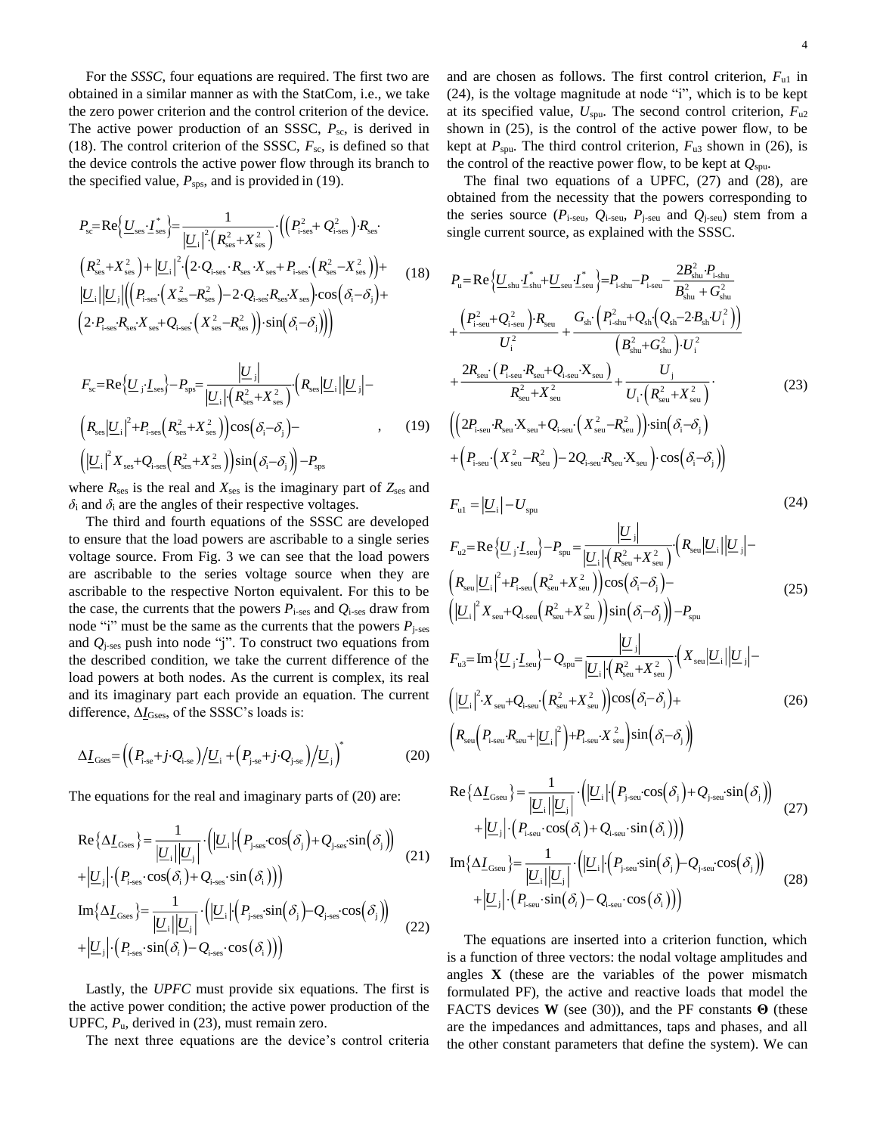For the *SSSC*, four equations are required. The first two are obtained in a similar manner as with the StatCom, i.e., we take the zero power criterion and the control criterion of the device. The active power production of an SSSC,  $P_{sc}$ , is derived in (18). The control criterion of the SSSC,  $F_{sc}$ , is defined so that the device controls the active power flow through its branch to the specified value,  $P_{\rm sps}$ , and is provided in (19).

$$
P_{sc} = \text{Re}\left\{\underline{U}_{sss} \cdot \underline{I}_{sss}^{*}\right\} = \frac{1}{|\underline{U}_{i}|^{2} \cdot (R_{ses}^{2} + X_{ses}^{2})} \cdot \left((P_{i\text{-}sss}^{2} + Q_{i\text{-}sss}^{2}) \cdot R_{sss} \cdot (R_{ses}^{2} + X_{ses}^{2}) + |\underline{U}_{i}|^{2} \cdot (2 \cdot Q_{i\text{-}sss} \cdot R_{ses} \cdot R_{ses} + P_{i\text{-}sss} \cdot (R_{ses}^{2} - X_{ses}^{2}) + |\underline{U}_{i}| |\underline{U}_{j}| \left((P_{i\text{-}sss} \cdot (X_{ses}^{2} - R_{ses}^{2}) - 2 \cdot Q_{i\text{-}sss} R_{ses} X_{ses}) \cdot \cos\left(\delta_{i} - \delta_{j}\right) + (18) \cdot \left(2 \cdot P_{i\text{-}sss} \cdot R_{ses} \cdot X_{ses} + Q_{i\text{-}sss} \cdot (X_{ses}^{2} - R_{ses}^{2})\right) \cdot \sin\left(\delta_{i} - \delta_{j}\right)\right)
$$

$$
F_{\rm sc} = \text{Re}\left\{\underline{U}_{\rm j} \cdot \underline{I}_{\rm ses}\right\} - P_{\rm sps} = \frac{|\underline{U}_{\rm j}|}{|\underline{U}_{\rm i}| \cdot (R_{\rm ses}^2 + X_{\rm ses}^2)} \cdot (R_{\rm ses} |\underline{U}_{\rm i}| |\underline{U}_{\rm j}| -
$$
\n
$$
\left(R_{\rm ses} |\underline{U}_{\rm i}|^2 + P_{\rm i-ses} (R_{\rm ses}^2 + X_{\rm ses}^2)\right) \cos\left(\delta_{\rm i} - \delta_{\rm j}\right) - \dots, \qquad (19)
$$
\n
$$
\left(|\underline{U}_{\rm i}|^2 X_{\rm ses} + Q_{\rm i-ses} (R_{\rm ses}^2 + X_{\rm ses}^2)\right) \sin\left(\delta_{\rm i} - \delta_{\rm j}\right) - P_{\rm sps}
$$

where  $R_{\text{ses}}$  is the real and  $X_{\text{ses}}$  is the imaginary part of  $Z_{\text{ses}}$  and  $\delta_i$  and  $\delta_i$  are the angles of their respective voltages.

The third and fourth equations of the SSSC are developed to ensure that the load powers are ascribable to a single series voltage source. From [Fig. 3](#page-2-0) we can see that the load powers are ascribable to the series voltage source when they are ascribable to the respective Norton equivalent. For this to be the case, the currents that the powers  $P_{i\text{-}\text{ses}}$  and  $Q_{i\text{-}\text{ses}}$  draw from node "i" must be the same as the currents that the powers  $P<sub>i-ses</sub>$ and *Q*j-ses push into node "j". To construct two equations from the described condition, we take the current difference of the load powers at both nodes. As the current is complex, its real and its imaginary part each provide an equation. The current difference, Δ*I*Gses, of the SSSC's loads is:

$$
\Delta \underline{I}_{\text{Gses}} = \left( \left( P_{i\text{-se}} + j \cdot Q_{i\text{-se}} \right) \middle/ \underline{U}_i + \left( P_{j\text{-se}} + j \cdot Q_{j\text{-se}} \right) \middle/ \underline{U}_j \right)^* \tag{20}
$$

The equations for the real and imaginary parts of (20) are:

$$
Re{\{\Delta \underline{I}}_{Gses}} = \frac{1}{|\underline{U}_{i}| |\underline{U}_{j}|} \cdot (|\underline{U}_{i}| \cdot (P_{j\text{-ses}} \cdot \cos(\delta_{j}) + Q_{j\text{-ses}} \cdot \sin(\delta_{j})) + |\underline{U}_{j}| \cdot (P_{i\text{-ses}} \cdot \cos(\delta_{i}) + Q_{i\text{-ses}} \cdot \sin(\delta_{i}))
$$
\n
$$
Im{\{\Delta \underline{I}}_{Gses}} = \frac{1}{|\underline{U}_{i}| |\underline{U}_{j}|} \cdot (|\underline{U}_{i}| \cdot (P_{j\text{-ses}} \cdot \sin(\delta_{j}) - Q_{j\text{-ses}} \cdot \cos(\delta_{j})) + |\underline{U}_{j}| \cdot (P_{i\text{-ses}} \cdot \sin(\delta_{i}) - Q_{i\text{-ses}} \cdot \cos(\delta_{i}))
$$
\n(22)

Lastly, the *UPFC* must provide six equations. The first is the active power condition; the active power production of the UPFC, *P*u, derived in (23), must remain zero.

The next three equations are the device's control criteria

and are chosen as follows. The first control criterion,  $F_{u1}$  in (24), is the voltage magnitude at node "i", which is to be kept at its specified value,  $U_{\text{spu}}$ . The second control criterion,  $F_{u2}$ shown in (25), is the control of the active power flow, to be kept at  $P_{spu}$ . The third control criterion,  $F_{u3}$  shown in (26), is the control of the reactive power flow, to be kept at  $Q_{spu}$ .

The final two equations of a UPFC, (27) and (28), are obtained from the necessity that the powers corresponding to the series source ( $P_{i\text{-seu}}$ ,  $Q_{i\text{-seu}}$ ,  $P_{j\text{-seu}}$  and  $Q_{j\text{-seu}}$ ) stem from a single current source, as explained with the SSSC.

$$
P_{u} = \text{Re}\left\{\underbrace{U_{\text{shu}}\cdot I_{\text{shu}}^{*} + U_{\text{seu}}\cdot I_{\text{seu}}^{*}}_{\text{Seu}}\right\} = P_{i\text{shu}} - P_{i\text{seu}} - \frac{2B_{\text{shu}}^{2} \cdot P_{i\text{shu}}}{B_{\text{shu}}^{2} + G_{\text{shu}}^{2}}
$$
\n
$$
+ \frac{\left(P_{i\text{seu}}^{2} + Q_{i\text{seu}}^{2}\right) \cdot R_{\text{seu}}}{U_{i}^{2}} + \frac{G_{\text{sh}}\cdot\left(P_{i\text{shu}}^{2} + Q_{\text{sh}}\cdot\left(Q_{\text{sh}} - 2B_{\text{sh}}\cdot U_{i}^{2}\right)\right)}{B_{\text{shu}}^{2} + G_{\text{shu}}^{2}} + \frac{2R_{\text{seu}}\cdot\left(P_{i\text{seu}}\cdot R_{\text{seu}} + Q_{i\text{seu}}\cdot X_{\text{seu}}\right)}{R_{\text{seu}}^{2} + X_{\text{seu}}^{2}} + \frac{U_{j}}{U_{i}\cdot\left(R_{\text{seu}}^{2} + X_{\text{seu}}^{2}\right)}.
$$
\n
$$
\left(\left(2P_{i\text{seu}}\cdot R_{\text{seu}}\cdot X_{\text{seu}} + Q_{i\text{seu}}\cdot\left(X_{\text{seu}}^{2} - R_{\text{seu}}^{2}\right)\right)\cdot\sin\left(\delta_{i} - \delta_{j}\right)\right)
$$
\n
$$
+ \left(P_{i\text{seu}}\cdot\left(X_{\text{seu}}^{2} - R_{\text{seu}}^{2}\right) - 2Q_{i\text{seu}}\cdot R_{\text{seu}}\cdot X_{\text{seu}}\right)\cdot\cos\left(\delta_{i} - \delta_{j}\right)\right)
$$
\n(23)

$$
F_{\rm ul} = |\underline{U}_{\rm i}| - U_{\rm spu} \tag{24}
$$

$$
F_{u2} = \text{Re}\left\{\underline{U}_{j} \cdot \underline{I}_{seu}\right\} - P_{spu} = \frac{|\underline{U}_{j}|}{|\underline{U}_{i}| \cdot (R_{seu}^{2} + X_{seu}^{2})} \cdot (R_{seu}|\underline{U}_{i}||\underline{U}_{j}| -
$$
\n
$$
\left(R_{seu}|\underline{U}_{i}|^{2} + P_{i-seu}\left(R_{seu}^{2} + X_{seu}^{2}\right)\right)\cos\left(\delta_{i} - \delta_{j}\right) -
$$
\n
$$
\left(|\underline{U}_{i}|^{2} X_{seu} + Q_{i-seu}\left(R_{seu}^{2} + X_{seu}^{2}\right)\right)\sin\left(\delta_{i} - \delta_{j}\right)\right) - P_{spu}
$$
\n
$$
\frac{|\underline{U}_{j}|}{\sqrt{\left|\sum_{i} |X_{i}|^{2} |\Delta_{j}|^{2}}}
$$
\n
$$
\left(\frac{|\underline{U}_{i}|^{2} \cdot \frac{|\underline{U}_{i}|^{2} \cdot \frac{|\underline{U}_{i}|^{2} \cdot \frac{|\underline{U}_{i}|^{2} \cdot \frac{|\underline{U}_{i}|^{2} \cdot \frac{|\underline{U}_{i}|^{2} \cdot \frac{|\underline{U}_{i}|^{2} \cdot \frac{|\underline{U}_{i}|^{2} \cdot \frac{|\underline{U}_{i}|^{2} \cdot \frac{|\underline{U}_{i}|^{2} \cdot \frac{|\underline{U}_{i}|^{2} \cdot \frac{|\underline{U}_{i}|^{2} \cdot \frac{|\underline{U}_{i}|^{2} \cdot \frac{|\underline{U}_{i}|^{2} \cdot \frac{|\underline{U}_{i}|^{2} \cdot \frac{|\underline{U}_{i}|^{2} \cdot \frac{|\underline{U}_{i}|^{2} \cdot \frac{|\underline{U}_{i}|^{2} \cdot \frac{|\underline{U}_{i}|^{2} \cdot \frac{|\underline{U}_{i}|^{2} \cdot \frac{|\underline{U}_{i}|^{2} \cdot \frac{|\underline{U}_{i}|^{2} \cdot \frac{|\underline{U}_{i}|^{2} \cdot \frac{|\underline{U}_{i}|^{2} \cdot \frac{|\underline{U}_{i}|^{2} \cdot \frac{|\underline{U}_{i}|^{2} \cdot \frac{|\underline{U}_{i}|^{2} \cdot \frac{|\underline{U}_{i}|^{2} \cdot \frac{|\underline{U}_{i}|^{2} \cdot \frac{|\underline{U}_{i}|^{2} \
$$

$$
F_{u3} = Im \left\{ \underline{U}_{j} \cdot \underline{I}_{seu} \right\} - \underline{Q}_{spu} = \frac{|\underline{\underline{U}}_{j}|}{|\underline{U}_{i}| \cdot |(R_{seu}^{2} + X_{seu}^{2})} \cdot \left( X_{seu} | \underline{U}_{i} | |\underline{U}_{j}| - (\underline{L}_{i}^{2} \cdot X_{seu} + \underline{Q}_{iseu} \cdot (R_{seu}^{2} + X_{seu}^{2})) \cos \left( \delta_{i} - \delta_{j} \right) + \left( R_{seu} \left( R_{seu} \cdot R_{seu} + |\underline{U}_{i}|^{2} \right) + P_{iseu} \cdot X_{seu}^{2} \right) \sin \left( \delta_{i} - \delta_{j} \right) \right)
$$
\n(26)

$$
\text{Re}\left\{\Delta\underline{I}_{\text{Gseu}}\right\} = \frac{1}{|\underline{U}_{\cdot}| |\underline{U}_{\cdot}|} \cdot \left(|\underline{U}_{\cdot}| \cdot (P_{\text{j-seu}} \cdot \cos(\delta_{\cdot}) + Q_{\text{j-seu}} \cdot \sin(\delta_{\cdot})\right) \tag{27}
$$
\n
$$
+ |\underline{U}_{\cdot}| \cdot (P_{\text{j-seu}} \cdot \cos(\delta_{\cdot}) + Q_{\text{i-seu}} \cdot \sin(\delta_{\cdot})\right) \tag{27}
$$
\n
$$
\text{Im}\left\{\Delta\underline{I}_{\text{Gseu}}\right\} = \frac{1}{|\underline{U}_{\cdot}| |\underline{U}_{\cdot}|} \cdot \left(|\underline{U}_{\cdot}| \cdot (P_{\text{j-seu}} \cdot \sin(\delta_{\cdot}) - Q_{\text{j-seu}} \cdot \cos(\delta_{\cdot})\right) \tag{28}
$$
\n
$$
+ |\underline{U}_{\cdot}| \cdot (P_{\text{j-seu}} \cdot \sin(\delta_{\cdot}) - Q_{\text{j-seu}} \cdot \cos(\delta_{\cdot})\right)
$$

The equations are inserted into a criterion function, which is a function of three vectors: the nodal voltage amplitudes and angles **X** (these are the variables of the power mismatch formulated PF), the active and reactive loads that model the FACTS devices **W** (see (30)), and the PF constants **Θ** (these are the impedances and admittances, taps and phases, and all the other constant parameters that define the system). We can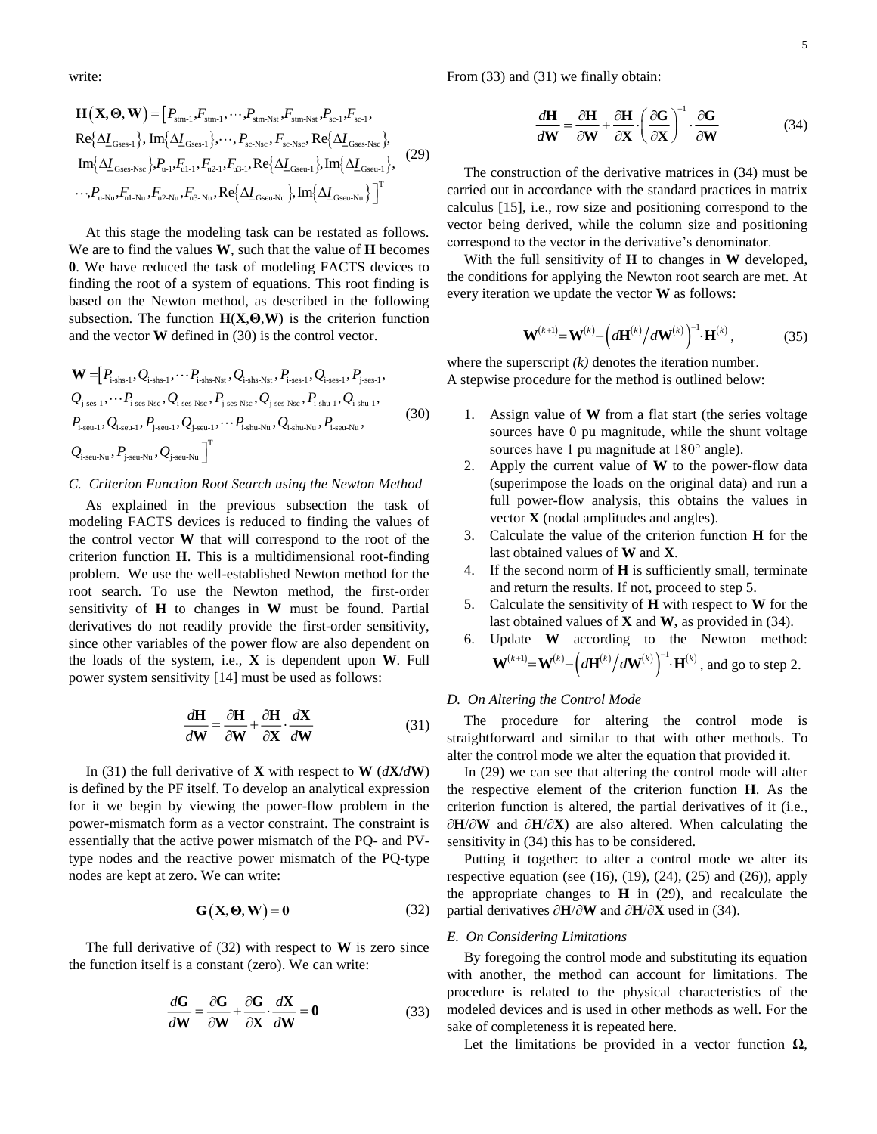write:

$$
\mathbf{H}(\mathbf{X},\mathbf{\Theta},\mathbf{W}) = [P_{\text{stm-1}},F_{\text{stm-1}},\cdots,P_{\text{stm-Net}},F_{\text{stm-Net}},P_{\text{sc-1}},F_{\text{sc-1}},
$$
  
\n
$$
Re{\{\Delta\underline{I}_{\text{Gses-1}}\},\text{Im}\{\Delta\underline{I}_{\text{Gses-1}}\},\cdots,P_{\text{sc-Net}},P_{\text{sc-Net}},R\mathbf{e}\{\Delta\underline{I}_{\text{Gses-Net}},\}}},
$$
  
\n
$$
Im{\{\Delta\underline{I}_{\text{Gses-Net}}\},P_{u-1},F_{u-1},F_{u-1},F_{u-1},P_{u-1},R\mathbf{e}\{\Delta\underline{I}_{\text{Gseu-1}}\},\text{Im}\{\Delta\underline{I}_{\text{Gseu-1}}\}},
$$
  
\n
$$
\cdots,P_{u-\text{Nu}},F_{u1-\text{Nu}},F_{u2-\text{Nu}},F_{u3-\text{Nu}},Re{\{\Delta\underline{I}_{\text{Gseu-Nu}}\},\text{Im}\{\Delta\underline{I}_{\text{Gseu-Nu}}\}}]^T
$$
 (29)

At this stage the modeling task can be restated as follows. We are to find the values **W**, such that the value of **H** becomes **0**. We have reduced the task of modeling FACTS devices to finding the root of a system of equations. This root finding is based on the Newton method, as described in the following subsection. The function **H**(**X**,**Θ**,**W**) is the criterion function and the vector **W** defined in (30) is the control vector.

$$
\mathbf{W} = [P_{i\text{-shs-1}}, Q_{i\text{-shs-1}}, \cdots P_{i\text{-shs-Nst}}, Q_{i\text{-shs-Nst}}, P_{i\text{-sss-1}}, Q_{i\text{-sss-1}}, P_{j\text{-sss-1}},
$$
  
\n
$$
Q_{j\text{-sss-1}}, \cdots P_{i\text{-sss-Nsc}}, Q_{i\text{-sss-Nsc}}, P_{j\text{-sss-Nsc}}, Q_{j\text{-sss-Nsc}}, P_{i\text{-shu-1}}, Q_{i\text{-shu-1}},
$$
  
\n
$$
P_{i\text{-seu-1}}, Q_{i\text{-seu-1}}, P_{j\text{-seu-1}}, Q_{j\text{-seu-1}}, \cdots P_{i\text{-shu-Nu}}, Q_{i\text{-shu-Nu}}, P_{i\text{-seu-Nu}},
$$
  
\n
$$
Q_{i\text{-seu-Nu}}, P_{j\text{-seu-Nu}}, Q_{j\text{-seu-Nu}}]^T
$$
\n(30)

# *C. Criterion Function Root Search using the Newton Method*

As explained in the previous subsection the task of modeling FACTS devices is reduced to finding the values of the control vector **W** that will correspond to the root of the criterion function **H**. This is a multidimensional root-finding problem. We use the well-established Newton method for the root search. To use the Newton method, the first-order sensitivity of **H** to changes in **W** must be found. Partial derivatives do not readily provide the first-order sensitivity, since other variables of the power flow are also dependent on the loads of the system, i.e., **X** is dependent upon **W**. Full power system sensitivity [14] must be used as follows:

$$
\frac{d\mathbf{H}}{d\mathbf{W}} = \frac{\partial \mathbf{H}}{\partial \mathbf{W}} + \frac{\partial \mathbf{H}}{\partial \mathbf{X}} \cdot \frac{d\mathbf{X}}{d\mathbf{W}}
$$
(31)

In (31) the full derivative of **X** with respect to **W**  $\left(\frac{dX}{dW}\right)$ is defined by the PF itself. To develop an analytical expression for it we begin by viewing the power-flow problem in the power-mismatch form as a vector constraint. The constraint is essentially that the active power mismatch of the PQ- and PVtype nodes and the reactive power mismatch of the PQ-type nodes are kept at zero. We can write:

$$
G(X, \Theta, W) = 0 \tag{32}
$$

The full derivative of (32) with respect to **W** is zero since the function itself is a constant (zero). We can write:

$$
\frac{d\mathbf{G}}{d\mathbf{W}} = \frac{\partial \mathbf{G}}{\partial \mathbf{W}} + \frac{\partial \mathbf{G}}{\partial \mathbf{X}} \cdot \frac{d\mathbf{X}}{d\mathbf{W}} = \mathbf{0}
$$
(33)

From (33) and (31) we finally obtain:

$$
\frac{d\mathbf{H}}{d\mathbf{W}} = \frac{\partial \mathbf{H}}{\partial \mathbf{W}} + \frac{\partial \mathbf{H}}{\partial \mathbf{X}} \cdot \left(\frac{\partial \mathbf{G}}{\partial \mathbf{X}}\right)^{-1} \cdot \frac{\partial \mathbf{G}}{\partial \mathbf{W}}
$$
(34)

The construction of the derivative matrices in (34) must be carried out in accordance with the standard practices in matrix calculus [15], i.e., row size and positioning correspond to the vector being derived, while the column size and positioning correspond to the vector in the derivative's denominator.

With the full sensitivity of **H** to changes in **W** developed, the conditions for applying the Newton root search are met. At every iteration we update the vector **W** as follows:

$$
\mathbf{W}^{(k+1)} = \mathbf{W}^{(k)} - \left(d\mathbf{H}^{(k)}/d\mathbf{W}^{(k)}\right)^{-1} \cdot \mathbf{H}^{(k)},
$$
(35)

where the superscript  $(k)$  denotes the iteration number. A stepwise procedure for the method is outlined below:

- 1. Assign value of **W** from a flat start (the series voltage sources have 0 pu magnitude, while the shunt voltage sources have 1 pu magnitude at  $180^{\circ}$  angle).
- 2. Apply the current value of **W** to the power-flow data (superimpose the loads on the original data) and run a full power-flow analysis, this obtains the values in vector **X** (nodal amplitudes and angles).
- 3. Calculate the value of the criterion function **H** for the last obtained values of **W** and **X**.
- 4. If the second norm of **H** is sufficiently small, terminate and return the results. If not, proceed to step 5.
- 5. Calculate the sensitivity of **H** with respect to **W** for the last obtained values of **X** and **W,** as provided in (34).
- 6. Update **W** according to the Newton method:  $\mathbf{W}^{(k+1)} = \mathbf{W}^{(k)} - \left(d\mathbf{H}^{(k)}/d\mathbf{W}^{(k)}\right)^{-1} \mathbf{\cdot H}^{(k)}$  , and go to step 2.

#### *D. On Altering the Control Mode*

The procedure for altering the control mode is straightforward and similar to that with other methods. To alter the control mode we alter the equation that provided it.

In (29) we can see that altering the control mode will alter the respective element of the criterion function **H**. As the criterion function is altered, the partial derivatives of it (i.e., ∂**H**/∂**W** and ∂**H**/∂**X**) are also altered. When calculating the sensitivity in (34) this has to be considered.

Putting it together: to alter a control mode we alter its respective equation (see  $(16)$ ,  $(19)$ ,  $(24)$ ,  $(25)$  and  $(26)$ ), apply the appropriate changes to **H** in (29), and recalculate the partial derivatives ∂**H**/∂**W** and ∂**H**/∂**X** used in (34).

## *E. On Considering Limitations*

By foregoing the control mode and substituting its equation with another, the method can account for limitations. The procedure is related to the physical characteristics of the modeled devices and is used in other methods as well. For the sake of completeness it is repeated here.

Let the limitations be provided in a vector function **Ω**,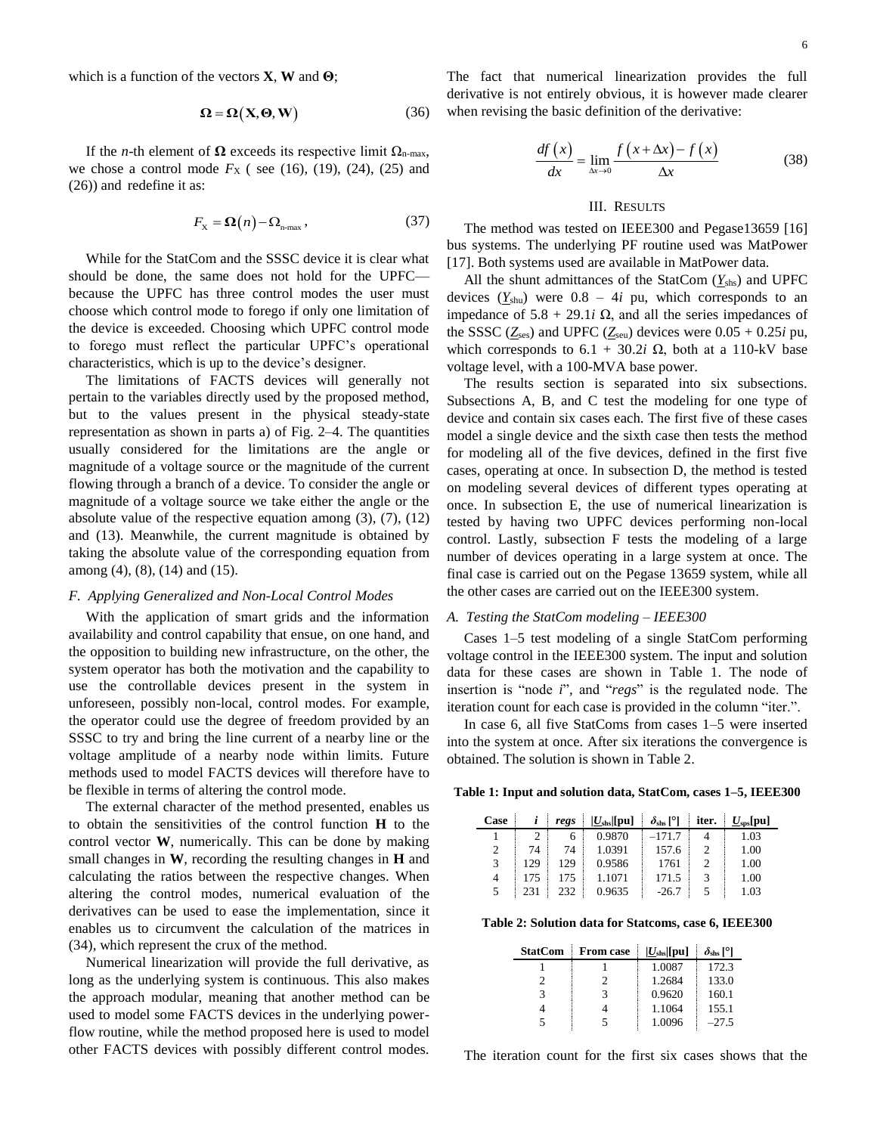which is a function of the vectors **X**, **W** and **Θ**;

$$
\Omega = \Omega(X, \Theta, W) \tag{36}
$$

If the *n*-th element of **Ω** exceeds its respective limit  $Ω_{n-max}$ , we chose a control mode  $F_X$  ( see (16), (19), (24), (25) and (26)) and redefine it as:

$$
F_{\rm X} = \Omega(n) - \Omega_{\rm n-max},\qquad(37)
$$

While for the StatCom and the SSSC device it is clear what should be done, the same does not hold for the UPFC because the UPFC has three control modes the user must choose which control mode to forego if only one limitation of the device is exceeded. Choosing which UPFC control mode to forego must reflect the particular UPFC's operational characteristics, which is up to the device's designer.

The limitations of FACTS devices will generally not pertain to the variables directly used by the proposed method, but to the values present in the physical steady-state representation as shown in parts a) of [Fig. 2–](#page-1-1)4. The quantities usually considered for the limitations are the angle or magnitude of a voltage source or the magnitude of the current flowing through a branch of a device. To consider the angle or magnitude of a voltage source we take either the angle or the absolute value of the respective equation among  $(3)$ ,  $(7)$ ,  $(12)$ and (13). Meanwhile, the current magnitude is obtained by taking the absolute value of the corresponding equation from among (4), (8), (14) and (15).

#### *F. Applying Generalized and Non-Local Control Modes*

With the application of smart grids and the information availability and control capability that ensue, on one hand, and the opposition to building new infrastructure, on the other, the system operator has both the motivation and the capability to use the controllable devices present in the system in unforeseen, possibly non-local, control modes. For example, the operator could use the degree of freedom provided by an SSSC to try and bring the line current of a nearby line or the voltage amplitude of a nearby node within limits. Future methods used to model FACTS devices will therefore have to be flexible in terms of altering the control mode.

The external character of the method presented, enables us to obtain the sensitivities of the control function **H** to the control vector **W**, numerically. This can be done by making small changes in **W**, recording the resulting changes in **H** and calculating the ratios between the respective changes. When altering the control modes, numerical evaluation of the derivatives can be used to ease the implementation, since it enables us to circumvent the calculation of the matrices in (34), which represent the crux of the method.

Numerical linearization will provide the full derivative, as long as the underlying system is continuous. This also makes the approach modular, meaning that another method can be used to model some FACTS devices in the underlying powerflow routine, while the method proposed here is used to model other FACTS devices with possibly different control modes. The fact that numerical linearization provides the full derivative is not entirely obvious, it is however made clearer when revising the basic definition of the derivative:

$$
\frac{df(x)}{dx} = \lim_{\Delta x \to 0} \frac{f(x + \Delta x) - f(x)}{\Delta x}
$$
(38)

#### III. RESULTS

The method was tested on IEEE300 and Pegase13659 [16] bus systems. The underlying PF routine used was MatPower [17]. Both systems used are available in MatPower data.

All the shunt admittances of the StatCom (*Y*shs) and UPFC devices  $(Y_{\text{shu}})$  were  $0.8 - 4i$  pu, which corresponds to an impedance of  $5.8 + 29.1*i*$  Ω, and all the series impedances of the SSSC  $(\underline{Z}_{\text{ses}})$  and UPFC  $(\underline{Z}_{\text{seu}})$  devices were  $0.05 + 0.25i$  pu, which corresponds to  $6.1 + 30.2i \Omega$ , both at a 110-kV base voltage level, with a 100-MVA base power.

The results section is separated into six subsections. Subsections A, B, and C test the modeling for one type of device and contain six cases each. The first five of these cases model a single device and the sixth case then tests the method for modeling all of the five devices, defined in the first five cases, operating at once. In subsection D, the method is tested on modeling several devices of different types operating at once. In subsection E, the use of numerical linearization is tested by having two UPFC devices performing non-local control. Lastly, subsection F tests the modeling of a large number of devices operating in a large system at once. The final case is carried out on the Pegase 13659 system, while all the other cases are carried out on the IEEE300 system.

## *A. Testing the StatCom modeling – IEEE300*

Cases 1–5 test modeling of a single StatCom performing voltage control in the IEEE300 system. The input and solution data for these cases are shown in [Table 1.](#page-5-0) The node of insertion is "node *i*", and "*regs*" is the regulated node. The iteration count for each case is provided in the column "iter.".

In case 6, all five StatComs from cases 1–5 were inserted into the system at once. After six iterations the convergence is obtained. The solution is shown in [Table 2.](#page-5-1)

<span id="page-5-0"></span>**Table 1: Input and solution data, StatCom, cases 1–5, IEEE300**

| Case |     | regs | $ U_{\rm shs} $ [pu] | $\delta_{\rm shs}$ [°] | iter. | $U_{\rm sos}[{\rm pu}]$ |
|------|-----|------|----------------------|------------------------|-------|-------------------------|
|      |     | 6    | 0.9870               | $-171.7$               | 4     | 1.03                    |
| 2    | 74  | 74   | 1.0391               | 157.6                  | 2     | 1.00                    |
| 3    | 129 | 129  | 0.9586               | 1761                   | 2     | 1.00                    |
| 4    | 175 | 175  | 1.1071               | 171.5                  | 3     | 1.00                    |
| 5    | 231 | 232  | 0.9635               | $-26.7$                | 5     | 1.03                    |

<span id="page-5-1"></span>**Table 2: Solution data for Statcoms, case 6, IEEE300**

| StatCom | <b>From case</b> | $ U_{\rm shs} $ [pu] | $\delta_{\rm{shs}}$ [°] |
|---------|------------------|----------------------|-------------------------|
|         |                  | 1.0087               | 172.3                   |
|         | 2                | 1.2684               | 133.0                   |
| 3       | 3                | 0.9620               | 160.1                   |
|         |                  | 1.1064               | 155.1                   |
| 5       | 5                | 1.0096               | $-27.5$                 |

The iteration count for the first six cases shows that the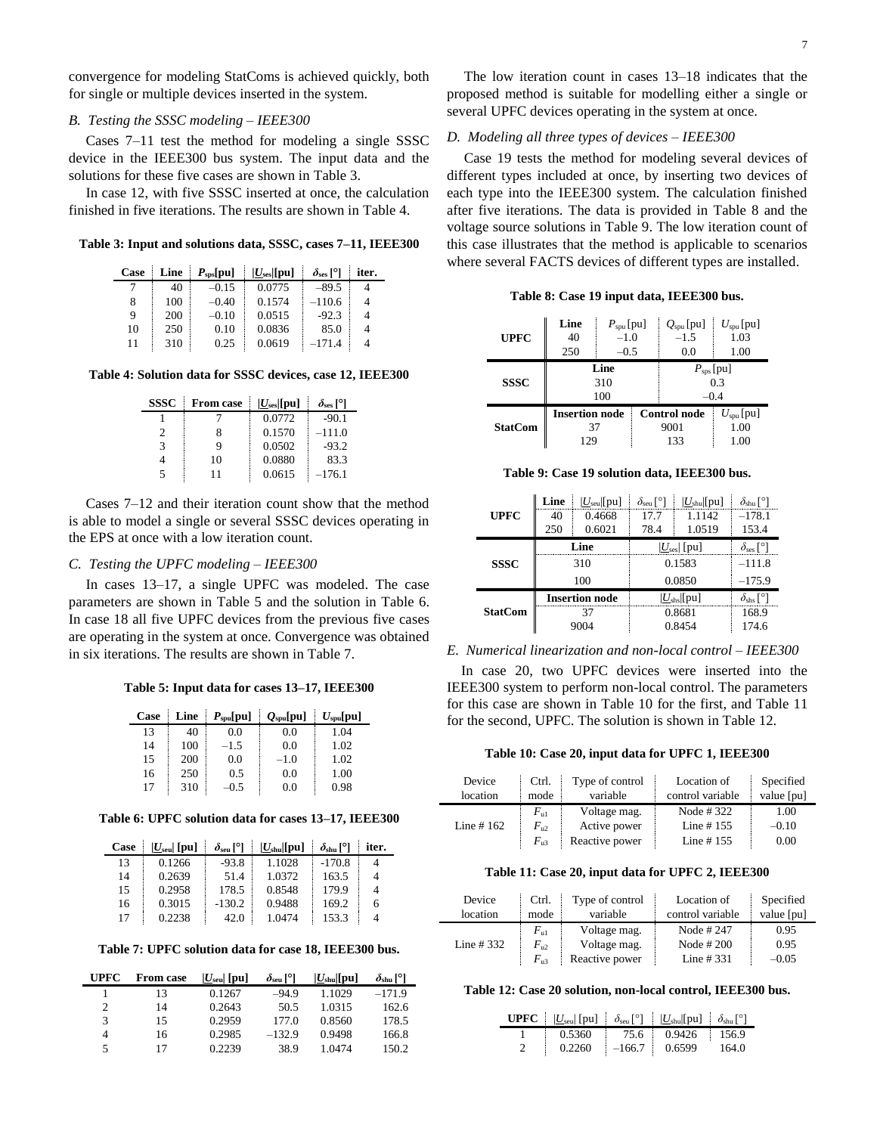convergence for modeling StatComs is achieved quickly, both for single or multiple devices inserted in the system.

#### *B. Testing the SSSC modeling – IEEE300*

Cases 7–11 test the method for modeling a single SSSC device in the IEEE300 bus system. The input data and the solutions for these five cases are shown in [Table 3.](#page-6-0)

In case 12, with five SSSC inserted at once, the calculation finished in five iterations. The results are shown in [Table 4.](#page-6-1)

<span id="page-6-0"></span>**Table 3: Input and solutions data, SSSC, cases 7–11, IEEE300**

| Case | Line | $P_{\rm sos}[{\rm pu}]$ | $ U_{\rm ses} $ [pu] | $\delta_{\rm ses}$ [°] | iter. |
|------|------|-------------------------|----------------------|------------------------|-------|
|      | 40   | $-0.15$                 | 0.0775               | $-89.5$                |       |
| 8    | 100  | $-0.40$                 | 0.1574               | $-110.6$               | 4     |
| Q    | 200  | $-0.10$                 | 0.0515               | $-92.3$                |       |
| 10   | 250  | 0.10                    | 0.0836               | 85.0                   | 4     |
| 11   | 310  | 0.25                    | 0.0619               | $-171.4$               | 4     |

<span id="page-6-1"></span>**Table 4: Solution data for SSSC devices, case 12, IEEE300**

| <b>SSSC</b> | <b>From case</b> | $ U_{\rm ses} $ [pu] | $\delta_{\rm ses}$ [°] |
|-------------|------------------|----------------------|------------------------|
|             |                  | 0.0772               | $-90.1$                |
| っ           | 8                | 0.1570               | $-111.0$               |
| 3           | 9                | 0.0502               | $-93.2$                |
|             | 10               | 0.0880               | 83.3                   |
| 5           | 11               | 0.0615               | $-176.1$               |

Cases 7–12 and their iteration count show that the method is able to model a single or several SSSC devices operating in the EPS at once with a low iteration count.

#### *C. Testing the UPFC modeling – IEEE300*

In cases 13–17, a single UPFC was modeled. The case parameters are shown in [Table 5](#page-6-2) and the solution in [Table 6.](#page-6-3) In case 18 all five UPFC devices from the previous five cases are operating in the system at once. Convergence was obtained in six iterations. The results are shown in [Table 7.](#page-6-4)

#### <span id="page-6-2"></span>**Table 5: Input data for cases 13–17, IEEE300**

| Case | Line | $P_{\text{spu}}[{\text{pu}}]$ | $Q_{\text{spu}}[\text{pu}]$ | $U_{\rm spu}[\rm{pu}]$ |
|------|------|-------------------------------|-----------------------------|------------------------|
| 13   | 40   | 0.0                           | 0.0                         | 1.04                   |
| 14   | 100  | $-1.5$                        | 0.0                         | 1.02                   |
| 15   | 200  | 0.0                           | $-1.0$                      | 1.02                   |
| 16   | 250  | 0.5                           | 0.0                         | 1.00                   |
| 17   | 310  | $-0.5$                        | 0.0                         | 0.98                   |

<span id="page-6-3"></span>**Table 6: UPFC solution data for cases 13–17, IEEE300**

| Case | $ U_{\rm seu} $ [pu] | $\delta_{\text{sen}}$ [ <sup>o</sup> ] | $ U_{\text{shu}} $ [pu] | $\delta_{\text{shu}}$ [ <sup>o</sup> ] | iter. |
|------|----------------------|----------------------------------------|-------------------------|----------------------------------------|-------|
| 13   | 0.1266               | $-93.8$                                | 1.1028                  | $-170.8$                               | 4     |
| 14   | 0.2639               | 51.4                                   | 1.0372                  | 163.5                                  | 4     |
| 15   | 0.2958               | 178.5                                  | 0.8548                  | 179.9                                  | 4     |
| 16   | 0.3015               | $-130.2$                               | 0.9488                  | 169.2                                  | 6     |
| 17   | 0.2238               | 42.0                                   | 1.0474                  | 153.3                                  | 4     |

<span id="page-6-4"></span>**Table 7: UPFC solution data for case 18, IEEE300 bus.**

| <b>UPFC</b> | <b>From case</b> | $ U_{\rm seu} $ [pu] | $\delta_{\rm seu}$ [ <sup>o</sup> ] | $ U_{\rm shu} $ [pu] | $\delta_{\rm shu}$   $\vert$ |
|-------------|------------------|----------------------|-------------------------------------|----------------------|------------------------------|
|             | 13               | 0.1267               | $-94.9$                             | 1.1029               | $-171.9$                     |
| 2           | 14               | 0.2643               | 50.5                                | 1.0315               | 162.6                        |
| 3           | 15               | 0.2959               | 177.0                               | 0.8560               | 178.5                        |
| 4           | 16               | 0.2985               | $-132.9$                            | 0.9498               | 166.8                        |
| 5           | 17               | 0.2239               | 38.9                                | 1.0474               | 150.2                        |

The low iteration count in cases 13–18 indicates that the proposed method is suitable for modelling either a single or several UPFC devices operating in the system at once.

# *D. Modeling all three types of devices – IEEE300*

Case 19 tests the method for modeling several devices of different types included at once, by inserting two devices of each type into the IEEE300 system. The calculation finished after five iterations. The data is provided in [Table 8](#page-6-5) and the voltage source solutions in [Table 9.](#page-6-6) The low iteration count of this case illustrates that the method is applicable to scenarios where several FACTS devices of different types are installed.

**Table 8: Case 19 input data, IEEE300 bus.**

<span id="page-6-5"></span>

| <b>UPFC</b>    | Line<br>40<br>250                  | $P_{\text{spu}}$ [pu]<br>$-1.0$<br>$-0.5$ |  | $Q_{spu}$ [pu]<br>$-1.5$<br>0.0     | $U_{\rm$<br>1.03<br>1.00              |  |
|----------------|------------------------------------|-------------------------------------------|--|-------------------------------------|---------------------------------------|--|
| <b>SSSC</b>    | Line<br>310<br>100                 |                                           |  | $P_{\rm sps}$ [pu]<br>0.3<br>$-0.4$ |                                       |  |
| <b>StatCom</b> | <b>Insertion node</b><br>37<br>129 |                                           |  | <b>Control node</b><br>9001<br>133  | $U_{\text{spu}}$ [pu]<br>1.00<br>1.00 |  |

**Table 9: Case 19 solution data, IEEE300 bus.**

<span id="page-6-6"></span>

|                | Line                  | $ U_{\rm seu} $ [pu] | $\delta_{\text{seu}}$ [°]   | $ U_{\text{shu}} $ [pu] | $\delta_{\text{shu}}[^{\circ}]$ |
|----------------|-----------------------|----------------------|-----------------------------|-------------------------|---------------------------------|
| <b>UPFC</b>    | 40                    | 0.4668               | 17.7                        | 1.1142                  | $-178.1$                        |
|                | 250                   | 0.6021               | 78.4                        | 1.0519                  | 153.4                           |
|                | Line                  |                      | $ U_{\rm ses} $ [pu]        |                         | $\delta_{\rm ses}$ [°]          |
| <b>SSSC</b>    | 310                   |                      | 0.1583                      |                         | $-111.8$                        |
|                | 100                   |                      | 0.0850                      |                         | $-175.9$                        |
|                | <b>Insertion node</b> |                      | $ U_{\rm shs} [\,{\rm pu}]$ |                         | $\delta_{\rm shs}$ [°]          |
| <b>StatCom</b> |                       | 37                   |                             | 0.8681                  |                                 |
|                |                       |                      |                             | 0.8454                  | 174.6                           |

# <span id="page-6-10"></span>*E. Numerical linearization and non-local control – IEEE300*

In case 20, two UPFC devices were inserted into the IEEE300 system to perform non-local control. The parameters for this case are shown in [Table 10](#page-6-7) for the first, and [Table 11](#page-6-8) for the second, UPFC. The solution is shown i[n Table 12.](#page-6-9)

#### **Table 10: Case 20, input data for UPFC 1, IEEE300**

<span id="page-6-7"></span>

| Device<br>location | Ctrl.<br>mode | Type of control<br>variable | Location of<br>control variable | Specified<br>value [pu] |
|--------------------|---------------|-----------------------------|---------------------------------|-------------------------|
|                    | $F_{\rm u1}$  | Voltage mag.                | Node #322                       | 1.00                    |
| Line $#162$        | $F_{\rm u2}$  | Active power                | Line $#155$                     | $-0.10$                 |
|                    | $F_{\rm u3}$  | Reactive power              | Line $#155$                     | 0.00                    |

#### **Table 11: Case 20, input data for UPFC 2, IEEE300**

<span id="page-6-8"></span>

| Device      | Ctrl.        | Type of control | Location of      | Specified  |
|-------------|--------------|-----------------|------------------|------------|
| location    | mode         | variable        | control variable | value [pu] |
|             | $F_{\rm u1}$ | Voltage mag.    | Node #247        | 0.95       |
| Line $#332$ | $F_{12}$     | Voltage mag.    | Node # 200       | 0.95       |
|             | $F_{n3}$     | Reactive power  | Line $#331$      | $-0.05$    |

## <span id="page-6-9"></span>**Table 12: Case 20 solution, non-local control, IEEE300 bus.**

| <b>UPFC</b> $ U_{\text{seu}} $ [pu] $ \delta_{\text{seu}} ^\circ$ |          | $ U_{\text{shu}} $ [pu] | $\delta_{\text{shu}}$ [°] |
|-------------------------------------------------------------------|----------|-------------------------|---------------------------|
| 0.5360                                                            | 75.6     | 0.9426                  | 156.9                     |
| 0.2260                                                            | $-166.7$ | 0.6599                  | 164.0                     |